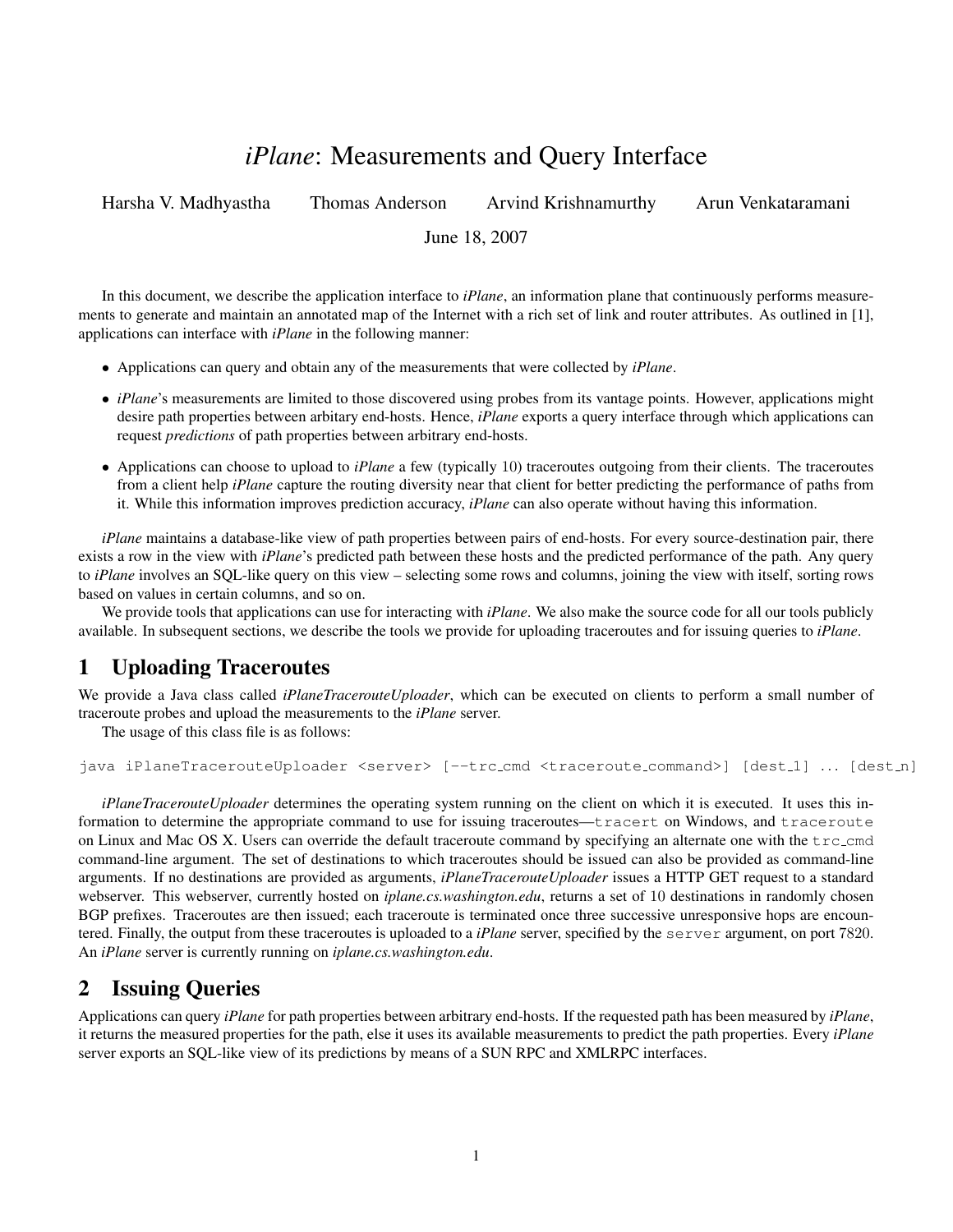# *iPlane*: Measurements and Query Interface

Harsha V. Madhyastha Thomas Anderson Arvind Krishnamurthy Arun Venkataramani

June 18, 2007

In this document, we describe the application interface to *iPlane*, an information plane that continuously performs measurements to generate and maintain an annotated map of the Internet with a rich set of link and router attributes. As outlined in [1], applications can interface with *iPlane* in the following manner:

- Applications can query and obtain any of the measurements that were collected by *iPlane*.
- *iPlane*'s measurements are limited to those discovered using probes from its vantage points. However, applications might desire path properties between arbitary end-hosts. Hence, *iPlane* exports a query interface through which applications can request *predictions* of path properties between arbitrary end-hosts.
- Applications can choose to upload to *iPlane* a few (typically 10) traceroutes outgoing from their clients. The traceroutes from a client help *iPlane* capture the routing diversity near that client for better predicting the performance of paths from it. While this information improves prediction accuracy, *iPlane* can also operate without having this information.

*iPlane* maintains a database-like view of path properties between pairs of end-hosts. For every source-destination pair, there exists a row in the view with *iPlane*'s predicted path between these hosts and the predicted performance of the path. Any query to *iPlane* involves an SQL-like query on this view – selecting some rows and columns, joining the view with itself, sorting rows based on values in certain columns, and so on.

We provide tools that applications can use for interacting with *iPlane*. We also make the source code for all our tools publicly available. In subsequent sections, we describe the tools we provide for uploading traceroutes and for issuing queries to *iPlane*.

## 1 Uploading Traceroutes

We provide a Java class called *iPlaneTracerouteUploader*, which can be executed on clients to perform a small number of traceroute probes and upload the measurements to the *iPlane* server.

The usage of this class file is as follows:

```
java iPlaneTracerouteUploader <server> [--trc_cmd <traceroute_command>] [dest_1] ... [dest_n]
```
*iPlaneTracerouteUploader* determines the operating system running on the client on which it is executed. It uses this information to determine the appropriate command to use for issuing traceroutes—tracert on Windows, and traceroute on Linux and Mac OS X. Users can override the default traceroute command by specifying an alternate one with the  $trc$ -cmd command-line argument. The set of destinations to which traceroutes should be issued can also be provided as command-line arguments. If no destinations are provided as arguments, *iPlaneTracerouteUploader* issues a HTTP GET request to a standard webserver. This webserver, currently hosted on *iplane.cs.washington.edu*, returns a set of 10 destinations in randomly chosen BGP prefixes. Traceroutes are then issued; each traceroute is terminated once three successive unresponsive hops are encountered. Finally, the output from these traceroutes is uploaded to a *iPlane* server, specified by the server argument, on port 7820. An *iPlane* server is currently running on *iplane.cs.washington.edu*.

## 2 Issuing Queries

Applications can query *iPlane* for path properties between arbitrary end-hosts. If the requested path has been measured by *iPlane*, it returns the measured properties for the path, else it uses its available measurements to predict the path properties. Every *iPlane* server exports an SQL-like view of its predictions by means of a SUN RPC and XMLRPC interfaces.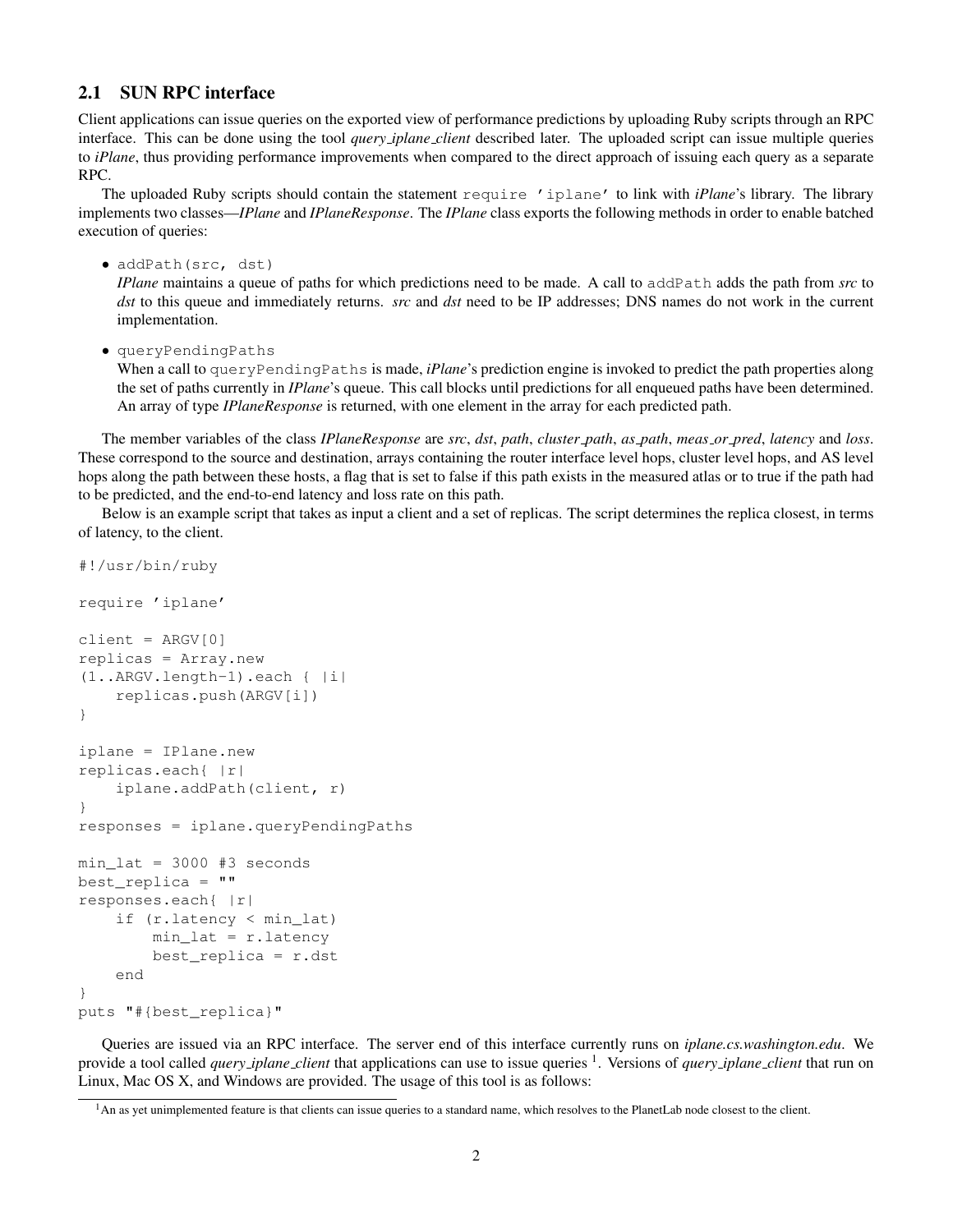#### 2.1 SUN RPC interface

Client applications can issue queries on the exported view of performance predictions by uploading Ruby scripts through an RPC interface. This can be done using the tool *query iplane client* described later. The uploaded script can issue multiple queries to *iPlane*, thus providing performance improvements when compared to the direct approach of issuing each query as a separate RPC.

The uploaded Ruby scripts should contain the statement require 'iplane' to link with *iPlane*'s library. The library implements two classes—*IPlane* and *IPlaneResponse*. The *IPlane* class exports the following methods in order to enable batched execution of queries:

• addPath(src, dst)

*IPlane* maintains a queue of paths for which predictions need to be made. A call to addPath adds the path from *src* to *dst* to this queue and immediately returns. *src* and *dst* need to be IP addresses; DNS names do not work in the current implementation.

• queryPendingPaths

When a call to queryPendingPaths is made, *iPlane*'s prediction engine is invoked to predict the path properties along the set of paths currently in *IPlane*'s queue. This call blocks until predictions for all enqueued paths have been determined. An array of type *IPlaneResponse* is returned, with one element in the array for each predicted path.

The member variables of the class *IPlaneResponse* are *src*, *dst*, *path*, *cluster path*, *as path*, *meas or pred*, *latency* and *loss*. These correspond to the source and destination, arrays containing the router interface level hops, cluster level hops, and AS level hops along the path between these hosts, a flag that is set to false if this path exists in the measured atlas or to true if the path had to be predicted, and the end-to-end latency and loss rate on this path.

Below is an example script that takes as input a client and a set of replicas. The script determines the replica closest, in terms of latency, to the client.

```
#!/usr/bin/ruby
require 'iplane'
client = ARGV[0]replicas = Array.new
(1..ARGV.length-1).each { |i|
    replicas.push(ARGV[i])
}
iplane = IPlane.new
replicas.each{ |r|
    iplane.addPath(client, r)
}
responses = iplane.queryPendingPaths
min_lat = 3000 #3 seconds
best_replica = ""
responses.each{ |r|
    if (r.latency < min_lat)
        min_lat = r.latency
        best_replica = r.dst
    end
}
puts "#{best_replica}"
```
Queries are issued via an RPC interface. The server end of this interface currently runs on *iplane.cs.washington.edu*. We provide a tool called *query iplane client* that applications can use to issue queries <sup>1</sup> . Versions of *query iplane client* that run on Linux, Mac OS X, and Windows are provided. The usage of this tool is as follows:

<sup>&</sup>lt;sup>1</sup>An as yet unimplemented feature is that clients can issue queries to a standard name, which resolves to the PlanetLab node closest to the client.